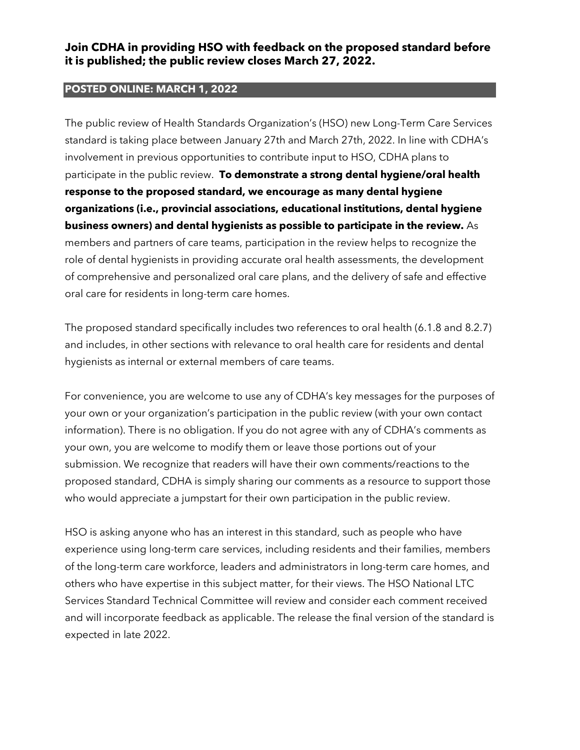#### **POSTED ONLINE: MARCH 1, 2022**

The public review of Health Standards Organization's (HSO) new Long-Term Care Services standard is taking place between January 27th and March 27th, 2022. In line with CDHA's involvement in previous opportunities to contribute input to HSO, CDHA plans to participate in the public review. **To demonstrate a strong dental hygiene/oral health response to the proposed standard, we encourage as many dental hygiene organizations (i.e., provincial associations, educational institutions, dental hygiene business owners) and dental hygienists as possible to participate in the review.** As members and partners of care teams, participation in the review helps to recognize the role of dental hygienists in providing accurate oral health assessments, the development of comprehensive and personalized oral care plans, and the delivery of safe and effective oral care for residents in long-term care homes.

The proposed standard specifically includes two references to oral health (6.1.8 and 8.2.7) and includes, in other sections with relevance to oral health care for residents and dental hygienists as internal or external members of care teams.

For convenience, you are welcome to use any of CDHA's key messages for the purposes of your own or your organization's participation in the public review (with your own contact information). There is no obligation. If you do not agree with any of CDHA's comments as your own, you are welcome to modify them or leave those portions out of your submission. We recognize that readers will have their own comments/reactions to the proposed standard, CDHA is simply sharing our comments as a resource to support those who would appreciate a jumpstart for their own participation in the public review.

HSO is asking anyone who has an interest in this standard, such as people who have experience using long-term care services, including residents and their families, members of the long-term care workforce, leaders and administrators in long-term care homes, and others who have expertise in this subject matter, for their views. The HSO National LTC Services Standard Technical Committee will review and consider each comment received and will incorporate feedback as applicable. The release the final version of the standard is expected in late 2022.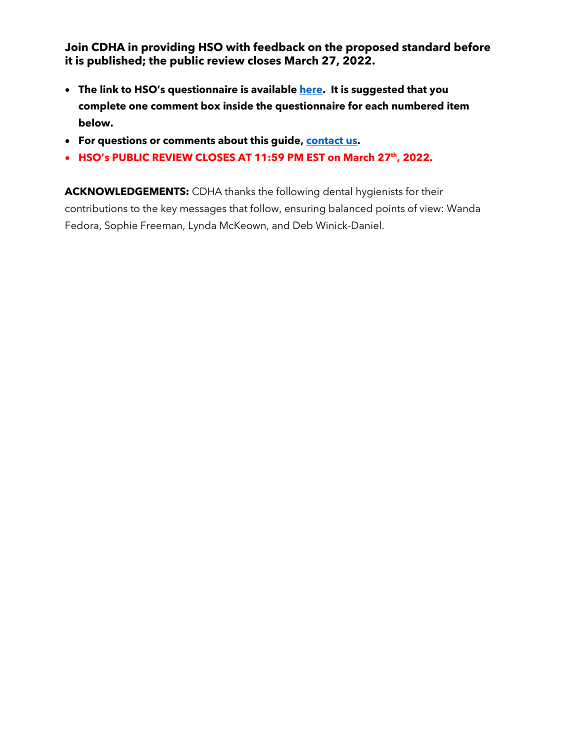- **The link to HSO's questionnaire is available [here.](https://healthstandards.org/public-reviews/long-term-care-services/) It is suggested that you complete one comment box inside the questionnaire for each numbered item below.**
- **For questions or comments about this guide, [contact us.](mailto:info@cdha.ca)**
- HSO's PUBLIC REVIEW CLOSES AT 11:59 PM EST on March 27<sup>th</sup>, 2022.

**ACKNOWLEDGEMENTS:** CDHA thanks the following dental hygienists for their contributions to the key messages that follow, ensuring balanced points of view: Wanda Fedora, Sophie Freeman, Lynda McKeown, and Deb Winick-Daniel.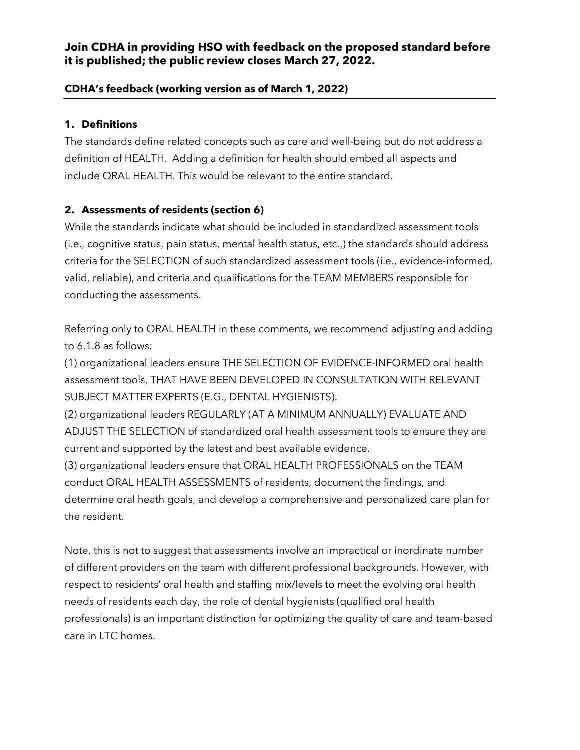#### **CDHA's feedback (working version as of March 1, 2022)**

### **1. Definitions**

The standards define related concepts such as care and well-being but do not address a definition of HEALTH. Adding a definition for health should embed all aspects and include ORAL HEALTH. This would be relevant to the entire standard.

# **2. Assessments of residents (section 6)**

While the standards indicate what should be included in standardized assessment tools (i.e., cognitive status, pain status, mental health status, etc.,) the standards should address criteria for the SELECTION of such standardized assessment tools (i.e., evidence-informed, valid, reliable), and criteria and qualifications for the TEAM MEMBERS responsible for conducting the assessments.

Referring only to ORAL HEALTH in these comments, we recommend adjusting and adding to 6.1.8 as follows:

(1) organizational leaders ensure THE SELECTION OF EVIDENCE-INFORMED oral health assessment tools, THAT HAVE BEEN DEVELOPED IN CONSULTATION WITH RELEVANT SUBJECT MATTER EXPERTS (E.G., DENTAL HYGIENISTS).

(2) organizational leaders REGULARLY (AT A MINIMUM ANNUALLY) EVALUATE AND ADJUST THE SELECTION of standardized oral health assessment tools to ensure they are current and supported by the latest and best available evidence.

(3) organizational leaders ensure that ORAL HEALTH PROFESSIONALS on the TEAM conduct ORAL HEALTH ASSESSMENTS of residents, document the findings, and determine oral heath goals, and develop a comprehensive and personalized care plan for the resident.

Note, this is not to suggest that assessments involve an impractical or inordinate number of different providers on the team with different professional backgrounds. However, with respect to residents' oral health and staffing mix/levels to meet the evolving oral health needs of residents each day, the role of dental hygienists (qualified oral health professionals) is an important distinction for optimizing the quality of care and team-based care in LTC homes.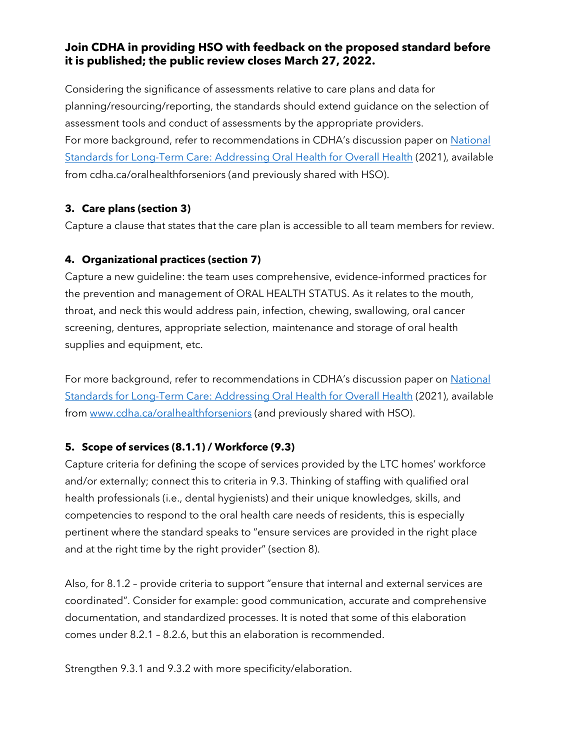Considering the significance of assessments relative to care plans and data for planning/resourcing/reporting, the standards should extend guidance on the selection of assessment tools and conduct of assessments by the appropriate providers. For more background, refer to recommendations in CDHA's discussion paper on [National](https://files.cdha.ca/Profession/Policy/National_standards_for_long-term_care_Nov2021.pdf)  [Standards for Long-Term Care: Addressing Oral Health for Overall Health](https://files.cdha.ca/Profession/Policy/National_standards_for_long-term_care_Nov2021.pdf) (2021), available from cdha.ca/oralhealthforseniors (and previously shared with HSO).

# **3. Care plans (section 3)**

Capture a clause that states that the care plan is accessible to all team members for review.

### **4. Organizational practices (section 7)**

Capture a new guideline: the team uses comprehensive, evidence-informed practices for the prevention and management of ORAL HEALTH STATUS. As it relates to the mouth, throat, and neck this would address pain, infection, chewing, swallowing, oral cancer screening, dentures, appropriate selection, maintenance and storage of oral health supplies and equipment, etc.

For more background, refer to recommendations in CDHA's discussion paper on [National](https://files.cdha.ca/Profession/Policy/National_standards_for_long-term_care_Nov2021.pdf)  [Standards for Long-Term Care: Addressing Oral Health for Overall Health](https://files.cdha.ca/Profession/Policy/National_standards_for_long-term_care_Nov2021.pdf) (2021), available from [www.cdha.ca/oralhealthforseniors](http://www.cdha.ca/oralhealthforseniors) (and previously shared with HSO).

# **5. Scope of services (8.1.1) / Workforce (9.3)**

Capture criteria for defining the scope of services provided by the LTC homes' workforce and/or externally; connect this to criteria in 9.3. Thinking of staffing with qualified oral health professionals (i.e., dental hygienists) and their unique knowledges, skills, and competencies to respond to the oral health care needs of residents, this is especially pertinent where the standard speaks to "ensure services are provided in the right place and at the right time by the right provider" (section 8).

Also, for 8.1.2 – provide criteria to support "ensure that internal and external services are coordinated". Consider for example: good communication, accurate and comprehensive documentation, and standardized processes. It is noted that some of this elaboration comes under 8.2.1 – 8.2.6, but this an elaboration is recommended.

Strengthen 9.3.1 and 9.3.2 with more specificity/elaboration.